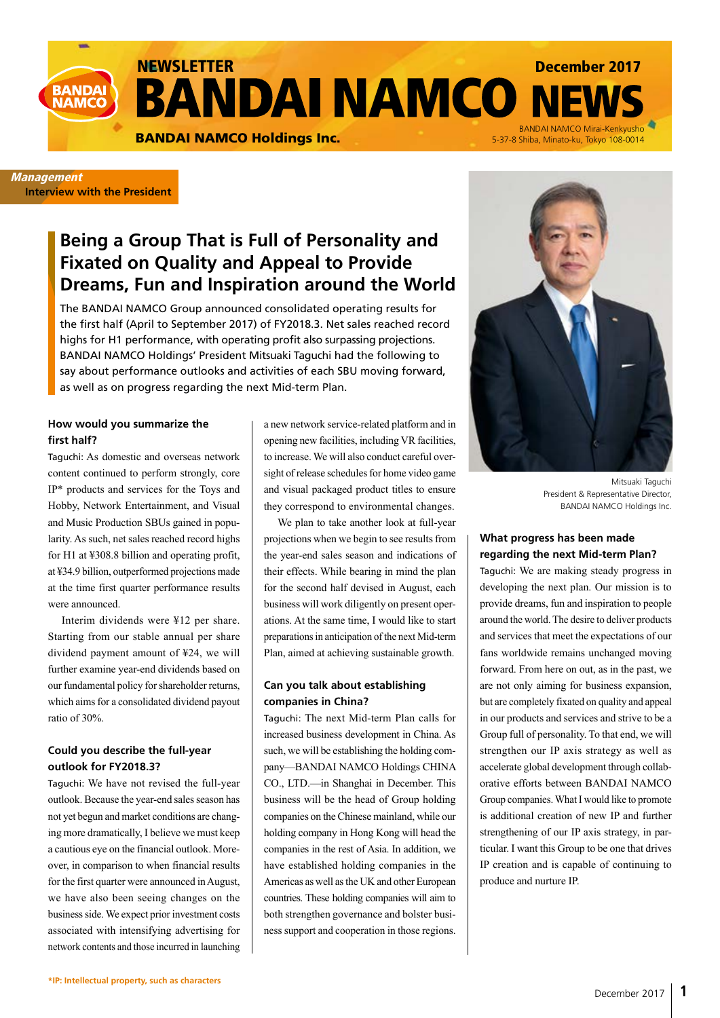NEWSLETTER December 2017 **BANDAI NAMCO NI** 

BANDAI NAMCO Holdings Inc.<br>BANDAI NAMCO Holdings Inc. 65-37-8 Shiba. Minato-ku. Tokyo 108-0014

### **Management Interview with the President**

**BANDA NAMCC** 

# **Being a Group That is Full of Personality and Fixated on Quality and Appeal to Provide Dreams, Fun and Inspiration around the World**

The BANDAI NAMCO Group announced consolidated operating results for the first half (April to September 2017) of FY2018.3. Net sales reached record highs for H1 performance, with operating profit also surpassing projections. BANDAI NAMCO Holdings' President Mitsuaki Taguchi had the following to say about performance outlooks and activities of each SBU moving forward, as well as on progress regarding the next Mid-term Plan.

### **How would you summarize the first half?**

Taguchi: As domestic and overseas network content continued to perform strongly, core IP\* products and services for the Toys and Hobby, Network Entertainment, and Visual and Music Production SBUs gained in popularity. As such, net sales reached record highs for H1 at ¥308.8 billion and operating profit, at ¥34.9 billion, outperformed projections made at the time first quarter performance results were announced.

Interim dividends were ¥12 per share. Starting from our stable annual per share dividend payment amount of ¥24, we will further examine year-end dividends based on our fundamental policy for shareholder returns, which aims for a consolidated dividend payout ratio of 30%.

### **Could you describe the full-year outlook for FY2018.3?**

Taguchi: We have not revised the full-year outlook. Because the year-end sales season has not yet begun and market conditions are changing more dramatically, I believe we must keep a cautious eye on the financial outlook. Moreover, in comparison to when financial results for the first quarter were announced in August, we have also been seeing changes on the business side. We expect prior investment costs associated with intensifying advertising for network contents and those incurred in launching a new network service-related platform and in opening new facilities, including VR facilities, to increase. We will also conduct careful oversight of release schedules for home video game and visual packaged product titles to ensure they correspond to environmental changes.

We plan to take another look at full-year projections when we begin to see results from the year-end sales season and indications of their effects. While bearing in mind the plan for the second half devised in August, each business will work diligently on present operations. At the same time, I would like to start preparations in anticipation of the next Mid-term Plan, aimed at achieving sustainable growth.

### **Can you talk about establishing companies in China?**

Taguchi: The next Mid-term Plan calls for increased business development in China. As such, we will be establishing the holding company—BANDAI NAMCO Holdings CHINA CO., LTD.—in Shanghai in December. This business will be the head of Group holding companies on the Chinese mainland, while our holding company in Hong Kong will head the companies in the rest of Asia. In addition, we have established holding companies in the Americas as well as the UK and other European countries. These holding companies will aim to both strengthen governance and bolster business support and cooperation in those regions.



5-37-8 Shiba, Minato-ku, Tokyo 108-0014

Mitsuaki Taguchi President & Representative Director, BANDAI NAMCO Holdings Inc.

### **What progress has been made regarding the next Mid-term Plan?**

Taguchi: We are making steady progress in developing the next plan. Our mission is to provide dreams, fun and inspiration to people around the world. The desire to deliver products and services that meet the expectations of our fans worldwide remains unchanged moving forward. From here on out, as in the past, we are not only aiming for business expansion, but are completely fixated on quality and appeal in our products and services and strive to be a Group full of personality. To that end, we will strengthen our IP axis strategy as well as accelerate global development through collaborative efforts between BANDAI NAMCO Group companies. What I would like to promote is additional creation of new IP and further strengthening of our IP axis strategy, in particular. I want this Group to be one that drives IP creation and is capable of continuing to produce and nurture IP.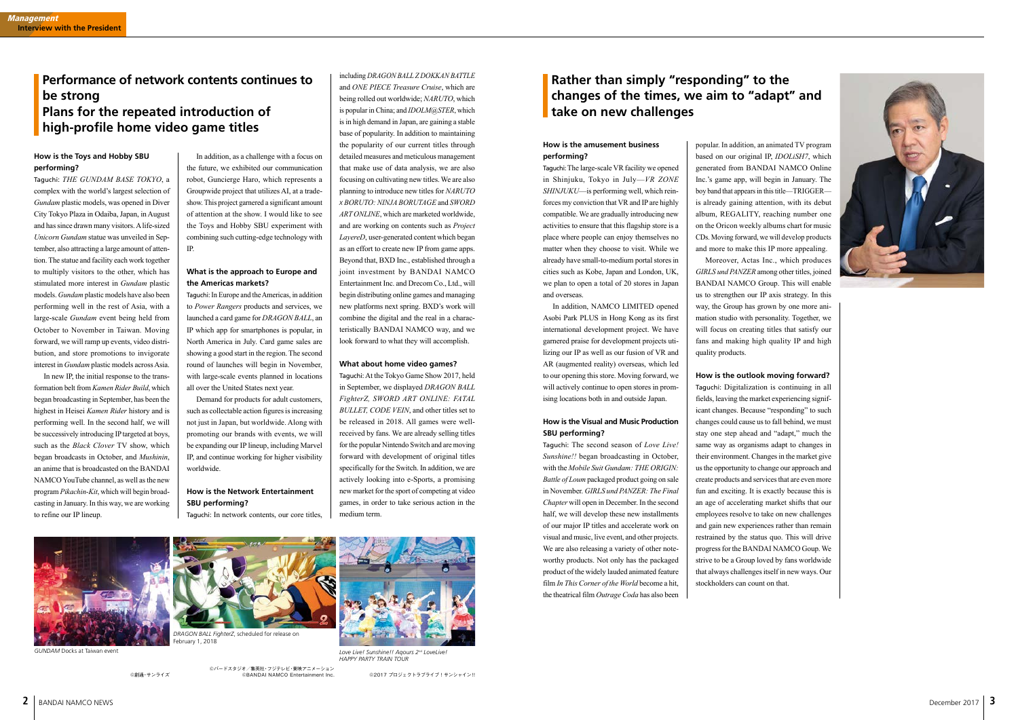In addition, as a challenge with a focus on the future, we exhibited our communication robot, Guncierge Haro, which represents a Groupwide project that utilizes AI, at a tradeshow. This project garnered a significant amount of attention at the show. I would like to see the Toys and Hobby SBU experiment with combining such cutting-edge technology with IP.

### **What is the approach to Europe and the Americas markets?**

Taguchi: In Europe and the Americas, in addition to *Power Rangers* products and services, we launched a card game for *DRAGON BALL*, an IP which app for smartphones is popular, in North America in July. Card game sales are showing a good start in the region. The second round of launches will begin in November, with large-scale events planned in locations all over the United States next year.

Demand for products for adult customers, such as collectable action figures is increasing not just in Japan, but worldwide. Along with promoting our brands with events, we will be expanding our IP lineup, including Marvel IP, and continue working for higher visibility worldwide.

### **How is the Network Entertainment SBU performing?**

Taguchi: In network contents, our core titles,

including *DRAGON BALL Z DOKKAN BATTLE* and *ONE PIECE Treasure Cruise*, which are being rolled out worldwide; *NARUTO*, which

is popular in China; and *IDOLM@STER*, which is in high demand in Japan, are gaining a stable base of popularity. In addition to maintaining the popularity of our current titles through detailed measures and meticulous management that make use of data analysis, we are also focusing on cultivating new titles. We are also planning to introduce new titles for *NARUTO x BORUTO: NINJA BORUTAGE* and *SWORD ART ONLINE*, which are marketed worldwide, and are working on contents such as *Project LayereD*, user-generated content which began as an effort to create new IP from game apps. Beyond that, BXD Inc., established through a joint investment by BANDAI NAMCO Entertainment Inc. and Drecom Co., Ltd., will begin distributing online games and managing new platforms next spring. BXD's work will combine the digital and the real in a characteristically BANDAI NAMCO way, and we look forward to what they will accomplish.

### **What about home video games?**

Taguchi: At the Tokyo Game Show 2017, held in September, we displayed *DRAGON BALL FighterZ, SWORD ART ONLINE: FATAL BULLET, CODE VEIN*, and other titles set to be released in 2018. All games were wellreceived by fans. We are already selling titles for the popular Nintendo Switch and are moving forward with development of original titles specifically for the Switch. In addition, we are actively looking into e-Sports, a promising new market for the sport of competing at video games, in order to take serious action in the medium term.

# **Performance of network contents continues to be strong Plans for the repeated introduction of high-profile home video game titles**

### **How is the Toys and Hobby SBU performing?**

Taguchi: *THE GUNDAM BASE TOKYO*, a complex with the world's largest selection of *Gundam* plastic models, was opened in Diver City Tokyo Plaza in Odaiba, Japan, in August and has since drawn many visitors. A life-sized *Unicorn Gundam* statue was unveiled in September, also attracting a large amount of attention. The statue and facility each work together to multiply visitors to the other, which has stimulated more interest in *Gundam* plastic models. *Gundam* plastic models have also been performing well in the rest of Asia, with a large-scale *Gundam* event being held from October to November in Taiwan. Moving forward, we will ramp up events, video distribution, and store promotions to invigorate interest in *Gundam* plastic models across Asia.

In new IP, the initial response to the transformation belt from *Kamen Rider Build*, which began broadcasting in September, has been the highest in Heisei *Kamen Rider* history and is performing well. In the second half, we will be successively introducing IP targeted at boys, such as the *Black Clover* TV show, which began broadcasts in October, and *Mushinin*, an anime that is broadcasted on the BANDAI NAMCO YouTube channel, as well as the new program *Pikachin-Kit*, which will begin broadcasting in January. In this way, we are working to refine our IP lineup.

©創通・サンライズ



## **Rather than simply "responding" to the changes of the times, we aim to "adapt" and take on new challenges**

*GUNDAM* Docks at Taiwan event

*DRAGON BALL FighterZ*, scheduled for release on February 1, 2018

©2017 プロジェクトラブライブ!サンシャイン!!



*Love Live! Sunshine!! Aqours 2nd LoveLive! HAPPY PARTY TRAIN TOUR*

©バードスタジオ/集英社・フジテレビ・東映アニメーション ©BANDAI NAMCO Entertainment Inc.

### **How is the amusement business performing?**

Taguchi: The large-scale VR facility we opened in Shinjuku, Tokyo in July—*VR ZONE SHINJUKU*—is performing well, which reinforces my conviction that VR and IP are highly compatible. We are gradually introducing new activities to ensure that this flagship store is a place where people can enjoy themselves no matter when they choose to visit. While we already have small-to-medium portal stores in cities such as Kobe, Japan and London, UK, we plan to open a total of 20 stores in Japan and overseas.

In addition, NAMCO LIMITED opened Asobi Park PLUS in Hong Kong as its first international development project. We have garnered praise for development projects utilizing our IP as well as our fusion of VR and AR (augmented reality) overseas, which led to our opening this store. Moving forward, we will actively continue to open stores in promising locations both in and outside Japan.

### **How is the Visual and Music Production SBU performing?**

Taguchi: The second season of *Love Live! Sunshine!!* began broadcasting in October, with the *Mobile Suit Gundam: THE ORIGIN: Battle of Loum* packaged product going on sale in November. *GIRLS und PANZER: The Final Chapter* will open in December. In the second half, we will develop these new installments of our major IP titles and accelerate work on visual and music, live event, and other projects. We are also releasing a variety of other noteworthy products. Not only has the packaged product of the widely lauded animated feature film *In This Corner of the World* become a hit, the theatrical film *Outrage Coda* has also been

popular. In addition, an animated TV program based on our original IP, *IDOLiSH7*, which generated from BANDAI NAMCO Online Inc.'s game app, will begin in January. The boy band that appears in this title—TRIGGER is already gaining attention, with its debut album, REGALITY, reaching number one on the Oricon weekly albums chart for music CDs. Moving forward, we will develop products and more to make this IP more appealing.

Moreover, Actas Inc., which produces *GIRLS und PANZER* among other titles, joined BANDAI NAMCO Group. This will enable us to strengthen our IP axis strategy. In this way, the Group has grown by one more animation studio with personality. Together, we will focus on creating titles that satisfy our fans and making high quality IP and high quality products.

**How is the outlook moving forward?**

Taguchi: Digitalization is continuing in all fields, leaving the market experiencing significant changes. Because "responding" to such changes could cause us to fall behind, we must stay one step ahead and "adapt," much the same way as organisms adapt to changes in their environment. Changes in the market give us the opportunity to change our approach and create products and services that are even more fun and exciting. It is exactly because this is an age of accelerating market shifts that our employees resolve to take on new challenges and gain new experiences rather than remain restrained by the status quo. This will drive progress for the BANDAI NAMCO Goup. We strive to be a Group loved by fans worldwide that always challenges itself in new ways. Our stockholders can count on that.